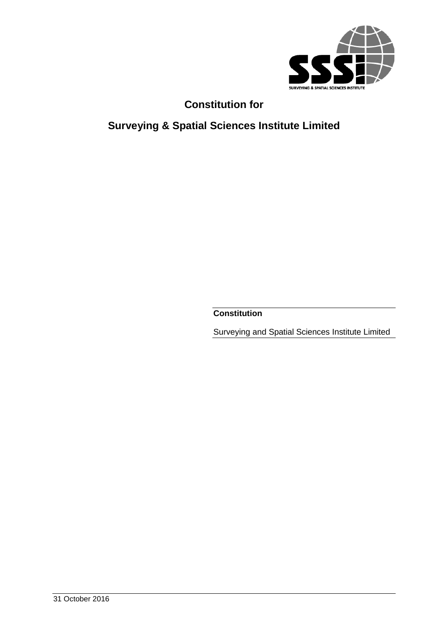

# **Constitution for**

# **Surveying & Spatial Sciences Institute Limited**

**Constitution**

Surveying and Spatial Sciences Institute Limited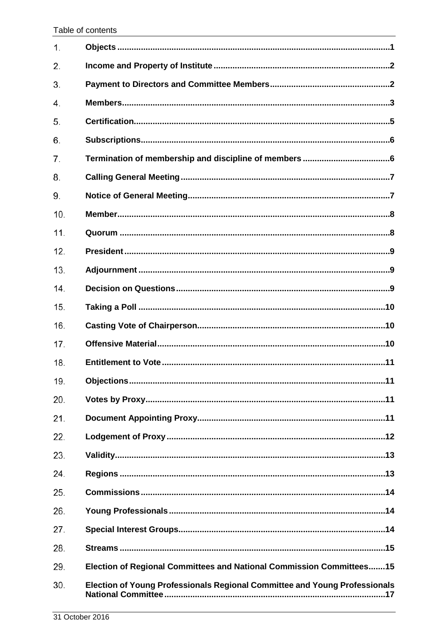| 1.  |                                                                            |
|-----|----------------------------------------------------------------------------|
| 2.  |                                                                            |
| 3.  |                                                                            |
| 4.  |                                                                            |
| 5.  |                                                                            |
| 6.  |                                                                            |
| 7.  |                                                                            |
| 8.  |                                                                            |
| 9.  |                                                                            |
| 10. |                                                                            |
| 11. |                                                                            |
| 12. |                                                                            |
| 13. |                                                                            |
| 14. |                                                                            |
| 15. |                                                                            |
| 16. |                                                                            |
| 17. |                                                                            |
| 18. |                                                                            |
| 19. |                                                                            |
| 20. |                                                                            |
| 21. |                                                                            |
| 22. |                                                                            |
| 23. |                                                                            |
| 24. |                                                                            |
| 25. |                                                                            |
| 26. |                                                                            |
| 27. |                                                                            |
| 28. |                                                                            |
| 29. | Election of Regional Committees and National Commission Committees15       |
| 30. | Election of Young Professionals Regional Committee and Young Professionals |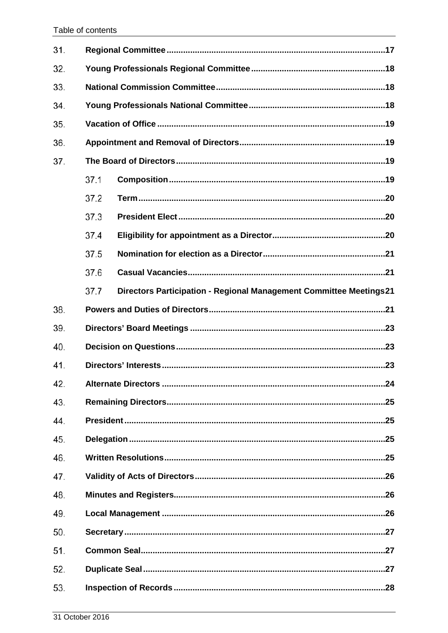| 31. |                                                                            |
|-----|----------------------------------------------------------------------------|
| 32. |                                                                            |
| 33. |                                                                            |
| 34. |                                                                            |
| 35. |                                                                            |
| 36. |                                                                            |
| 37. |                                                                            |
|     | 37.1                                                                       |
|     | 37.2                                                                       |
|     | 37.3                                                                       |
|     | 37.4                                                                       |
|     | 37.5                                                                       |
|     | 37.6                                                                       |
|     | Directors Participation - Regional Management Committee Meetings21<br>37.7 |
| 38. |                                                                            |
| 39. |                                                                            |
| 40. |                                                                            |
| 41. |                                                                            |
| 42. |                                                                            |
| 43. |                                                                            |
| 44. |                                                                            |
| 45. |                                                                            |
| 46. |                                                                            |
| 47. |                                                                            |
| 48. |                                                                            |
| 49. |                                                                            |
| 50. |                                                                            |
| 51. |                                                                            |
| 52. |                                                                            |
| 53. |                                                                            |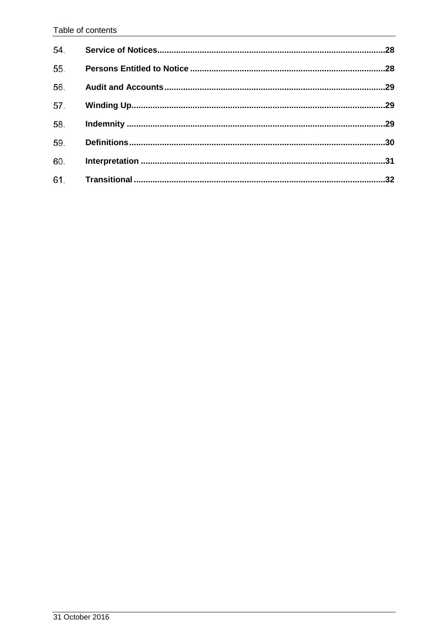| 54. |  |
|-----|--|
| 55. |  |
| 56. |  |
| 57. |  |
| 58. |  |
| 59. |  |
| 60. |  |
| 61. |  |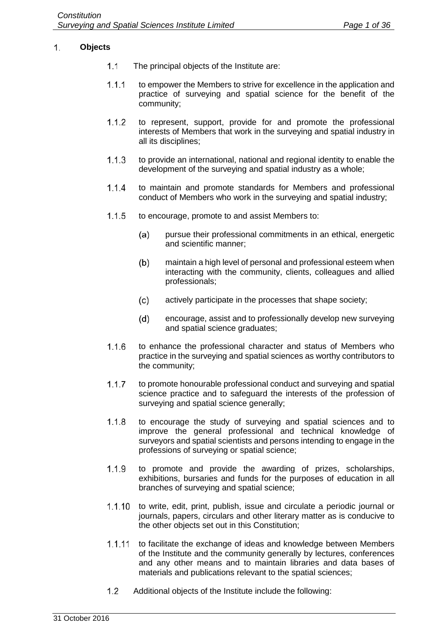#### <span id="page-4-0"></span> $1<sub>1</sub>$ **Objects**

- $1.1$ The principal objects of the Institute are:
- $1.1.1$ to empower the Members to strive for excellence in the application and practice of surveying and spatial science for the benefit of the community;
- $1.1.2$ to represent, support, provide for and promote the professional interests of Members that work in the surveying and spatial industry in all its disciplines;
- $1.1.3$ to provide an international, national and regional identity to enable the development of the surveying and spatial industry as a whole;
- $1.1.4$ to maintain and promote standards for Members and professional conduct of Members who work in the surveying and spatial industry;
- $1.1.5$ to encourage, promote to and assist Members to:
	- $(a)$ pursue their professional commitments in an ethical, energetic and scientific manner;
	- $(b)$ maintain a high level of personal and professional esteem when interacting with the community, clients, colleagues and allied professionals;
	- $(c)$ actively participate in the processes that shape society;
	- encourage, assist and to professionally develop new surveying  $(d)$ and spatial science graduates;
- $1.1.6$ to enhance the professional character and status of Members who practice in the surveying and spatial sciences as worthy contributors to the community;
- $1.1.7$ to promote honourable professional conduct and surveying and spatial science practice and to safeguard the interests of the profession of surveying and spatial science generally;
- to encourage the study of surveying and spatial sciences and to  $1.1.8$ improve the general professional and technical knowledge of surveyors and spatial scientists and persons intending to engage in the professions of surveying or spatial science;
- $1.1.9$ to promote and provide the awarding of prizes, scholarships, exhibitions, bursaries and funds for the purposes of education in all branches of surveying and spatial science;
- $1.1.10$  to write, edit, print, publish, issue and circulate a periodic journal or journals, papers, circulars and other literary matter as is conducive to the other objects set out in this Constitution;
- 1.1.11 to facilitate the exchange of ideas and knowledge between Members of the Institute and the community generally by lectures, conferences and any other means and to maintain libraries and data bases of materials and publications relevant to the spatial sciences;
- $1.2$ Additional objects of the Institute include the following: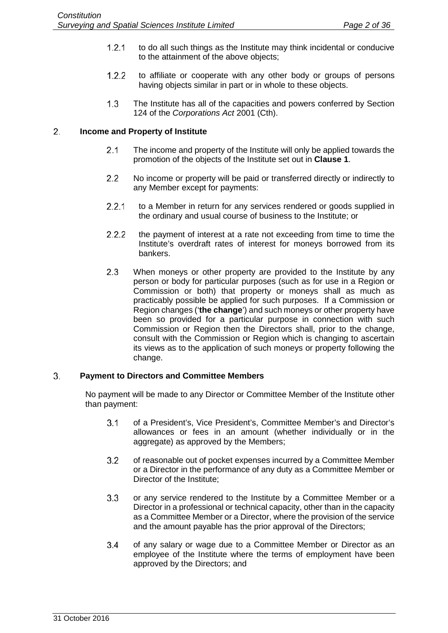- $1.2.1$ to do all such things as the Institute may think incidental or conducive to the attainment of the above objects;
- $1.2.2$ to affiliate or cooperate with any other body or groups of persons having objects similar in part or in whole to these objects.
- $1.3$ The Institute has all of the capacities and powers conferred by Section 124 of the *Corporations Act* 2001 (Cth).

#### $2<sub>1</sub>$ **Income and Property of Institute**

- $2.1$ The income and property of the Institute will only be applied towards the promotion of the objects of the Institute set out in **Clause [1](#page-4-0)**.
- No income or property will be paid or transferred directly or indirectly to  $2.2$ any Member except for payments:
- $2.2.1$ to a Member in return for any services rendered or goods supplied in the ordinary and usual course of business to the Institute; or
- $2.2.2$ the payment of interest at a rate not exceeding from time to time the Institute's overdraft rates of interest for moneys borrowed from its bankers.
- $2.3$ When moneys or other property are provided to the Institute by any person or body for particular purposes (such as for use in a Region or Commission or both) that property or moneys shall as much as practicably possible be applied for such purposes. If a Commission or Region changes ('**the change**') and such moneys or other property have been so provided for a particular purpose in connection with such Commission or Region then the Directors shall, prior to the change, consult with the Commission or Region which is changing to ascertain its views as to the application of such moneys or property following the change.

#### $\mathcal{S}_{\mathcal{S}}$ **Payment to Directors and Committee Members**

No payment will be made to any Director or Committee Member of the Institute other than payment:

- $3.1$ of a President's, Vice President's, Committee Member's and Director's allowances or fees in an amount (whether individually or in the aggregate) as approved by the Members;
- $3.2$ of reasonable out of pocket expenses incurred by a Committee Member or a Director in the performance of any duty as a Committee Member or Director of the Institute;
- $3.3$ or any service rendered to the Institute by a Committee Member or a Director in a professional or technical capacity, other than in the capacity as a Committee Member or a Director, where the provision of the service and the amount payable has the prior approval of the Directors;
- $3.4$ of any salary or wage due to a Committee Member or Director as an employee of the Institute where the terms of employment have been approved by the Directors; and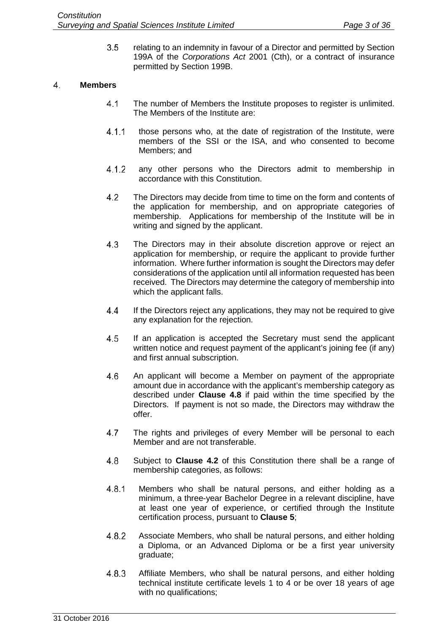$3.5$ relating to an indemnity in favour of a Director and permitted by Section 199A of the *Corporations Act* 2001 (Cth), or a contract of insurance permitted by Section 199B.

#### <span id="page-6-3"></span> $4<sub>1</sub>$ **Members**

- $4.1$ The number of Members the Institute proposes to register is unlimited. The Members of the Institute are:
- $4.1.1$ those persons who, at the date of registration of the Institute, were members of the SSI or the ISA, and who consented to become Members; and
- $4.1.2$ any other persons who the Directors admit to membership in accordance with this Constitution.
- <span id="page-6-1"></span> $4.2$ The Directors may decide from time to time on the form and contents of the application for membership, and on appropriate categories of membership. Applications for membership of the Institute will be in writing and signed by the applicant.
- <span id="page-6-2"></span> $4.3$ The Directors may in their absolute discretion approve or reject an application for membership, or require the applicant to provide further information. Where further information is sought the Directors may defer considerations of the application until all information requested has been received. The Directors may determine the category of membership into which the applicant falls.
- 44 If the Directors reject any applications, they may not be required to give any explanation for the rejection.
- 4.5 If an application is accepted the Secretary must send the applicant written notice and request payment of the applicant's joining fee (if any) and first annual subscription.
- 46 An applicant will become a Member on payment of the appropriate amount due in accordance with the applicant's membership category as described under **Clause [4.8](#page-6-0)** if paid within the time specified by the Directors. If payment is not so made, the Directors may withdraw the offer.
- 4.7 The rights and privileges of every Member will be personal to each Member and are not transferable.
- <span id="page-6-0"></span>4.8 Subject to **Clause [4.2](#page-6-1)** of this Constitution there shall be a range of membership categories, as follows:
- $4.8.1$ Members who shall be natural persons, and either holding as a minimum, a three-year Bachelor Degree in a relevant discipline, have at least one year of experience, or certified through the Institute certification process, pursuant to **Clause [5](#page-8-0)**;
- 4.8.2 Associate Members, who shall be natural persons, and either holding a Diploma, or an Advanced Diploma or be a first year university graduate;
- Affiliate Members, who shall be natural persons, and either holding 4.8.3 technical institute certificate levels 1 to 4 or be over 18 years of age with no qualifications;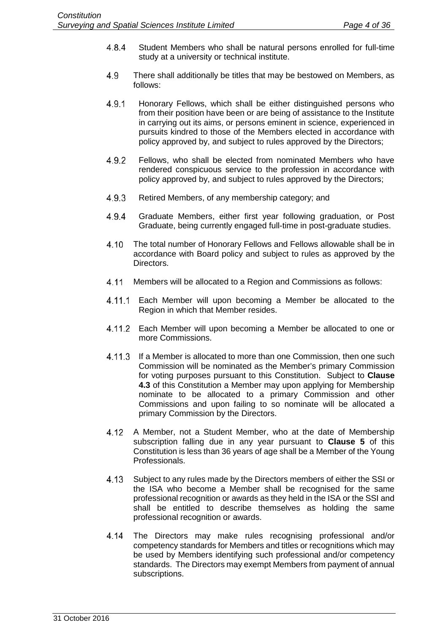- 4.8.4 Student Members who shall be natural persons enrolled for full-time study at a university or technical institute.
- 4.9 There shall additionally be titles that may be bestowed on Members, as follows:
- 4.9.1 Honorary Fellows, which shall be either distinguished persons who from their position have been or are being of assistance to the Institute in carrying out its aims, or persons eminent in science, experienced in pursuits kindred to those of the Members elected in accordance with policy approved by, and subject to rules approved by the Directors;
- 4.9.2 Fellows, who shall be elected from nominated Members who have rendered conspicuous service to the profession in accordance with policy approved by, and subject to rules approved by the Directors;
- 4.9.3 Retired Members, of any membership category; and
- 4.9.4 Graduate Members, either first year following graduation, or Post Graduate, being currently engaged full-time in post-graduate studies.
- The total number of Honorary Fellows and Fellows allowable shall be in 4.10 accordance with Board policy and subject to rules as approved by the Directors.
- Members will be allocated to a Region and Commissions as follows: 4.11
- Each Member will upon becoming a Member be allocated to the Region in which that Member resides.
- Each Member will upon becoming a Member be allocated to one or more Commissions.
- If a Member is allocated to more than one Commission, then one such Commission will be nominated as the Member's primary Commission for voting purposes pursuant to this Constitution. Subject to **Clause [4.3](#page-6-2)** of this Constitution a Member may upon applying for Membership nominate to be allocated to a primary Commission and other Commissions and upon failing to so nominate will be allocated a primary Commission by the Directors.
- 4.12 A Member, not a Student Member, who at the date of Membership subscription falling due in any year pursuant to **Clause [5](#page-8-0)** of this Constitution is less than 36 years of age shall be a Member of the Young Professionals.
- 4.13 Subject to any rules made by the Directors members of either the SSI or the ISA who become a Member shall be recognised for the same professional recognition or awards as they held in the ISA or the SSI and shall be entitled to describe themselves as holding the same professional recognition or awards.
- 4.14 The Directors may make rules recognising professional and/or competency standards for Members and titles or recognitions which may be used by Members identifying such professional and/or competency standards. The Directors may exempt Members from payment of annual subscriptions.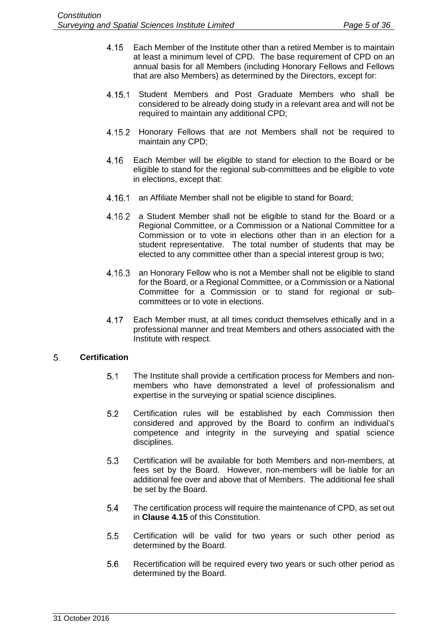- <span id="page-8-1"></span>4.15 Each Member of the Institute other than a retired Member is to maintain at least a minimum level of CPD. The base requirement of CPD on an annual basis for all Members (including Honorary Fellows and Fellows that are also Members) as determined by the Directors, except for:
- 4.15.1 Student Members and Post Graduate Members who shall be considered to be already doing study in a relevant area and will not be required to maintain any additional CPD;
- 4.15.2 Honorary Fellows that are not Members shall not be required to maintain any CPD;
- 4.16 Each Member will be eligible to stand for election to the Board or be eligible to stand for the regional sub-committees and be eligible to vote in elections, except that:
- 4.16.1 an Affiliate Member shall not be eligible to stand for Board;
- 4.16.2 a Student Member shall not be eligible to stand for the Board or a Regional Committee, or a Commission or a National Committee for a Commission or to vote in elections other than in an election for a student representative. The total number of students that may be elected to any committee other than a special interest group is two;
- 4.16.3 an Honorary Fellow who is not a Member shall not be eligible to stand for the Board, or a Regional Committee, or a Commission or a National Committee for a Commission or to stand for regional or subcommittees or to vote in elections.
- 4.17 Each Member must, at all times conduct themselves ethically and in a professional manner and treat Members and others associated with the Institute with respect.

#### <span id="page-8-0"></span>5. **Certification**

- $5.1$ The Institute shall provide a certification process for Members and nonmembers who have demonstrated a level of professionalism and expertise in the surveying or spatial science disciplines.
- $5.2$ Certification rules will be established by each Commission then considered and approved by the Board to confirm an individual's competence and integrity in the surveying and spatial science disciplines.
- 5.3 Certification will be available for both Members and non-members, at fees set by the Board. However, non-members will be liable for an additional fee over and above that of Members. The additional fee shall be set by the Board.
- The certification process will require the maintenance of CPD, as set out  $5.4$ in **Clause [4.15](#page-8-1)** of this Constitution.
- $5.5$ Certification will be valid for two years or such other period as determined by the Board.
- 5.6 Recertification will be required every two years or such other period as determined by the Board.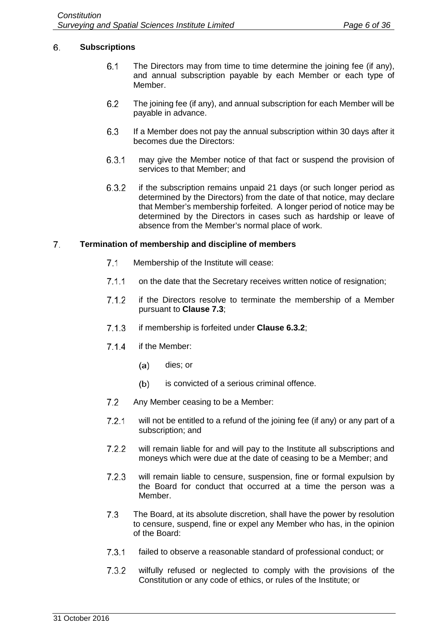#### 6. **Subscriptions**

- $6.1$ The Directors may from time to time determine the joining fee (if any), and annual subscription payable by each Member or each type of Member.
- $6.2$ The joining fee (if any), and annual subscription for each Member will be payable in advance.
- 6.3 If a Member does not pay the annual subscription within 30 days after it becomes due the Directors:
- may give the Member notice of that fact or suspend the provision of  $6.3.1$ services to that Member; and
- <span id="page-9-1"></span>6.3.2 if the subscription remains unpaid 21 days (or such longer period as determined by the Directors) from the date of that notice, may declare that Member's membership forfeited. A longer period of notice may be determined by the Directors in cases such as hardship or leave of absence from the Member's normal place of work.

#### $7<sub>1</sub>$ **Termination of membership and discipline of members**

- $7.1$ Membership of the Institute will cease:
- $7.1.1$ on the date that the Secretary receives written notice of resignation;
- $7.1.2$ if the Directors resolve to terminate the membership of a Member pursuant to **Clause [7.3](#page-9-0)**;
- $7.1.3$ if membership is forfeited under **Clause [6.3.2](#page-9-1)**;
- $7.1.4$ if the Member:
	- $(a)$ dies; or
	- $(b)$ is convicted of a serious criminal offence.
- $7.2$ Any Member ceasing to be a Member:
- $7.2.1$ will not be entitled to a refund of the joining fee (if any) or any part of a subscription; and
- $7.2.2$ will remain liable for and will pay to the Institute all subscriptions and moneys which were due at the date of ceasing to be a Member; and
- $7.2.3$ will remain liable to censure, suspension, fine or formal expulsion by the Board for conduct that occurred at a time the person was a Member.
- <span id="page-9-0"></span> $7.3$ The Board, at its absolute discretion, shall have the power by resolution to censure, suspend, fine or expel any Member who has, in the opinion of the Board:
- $7.3.1$ failed to observe a reasonable standard of professional conduct; or
- $7.3.2$ wilfully refused or neglected to comply with the provisions of the Constitution or any code of ethics, or rules of the Institute; or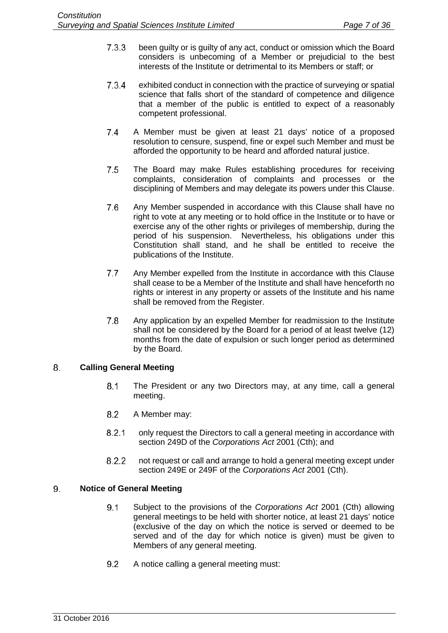- $7.3.3$ been guilty or is guilty of any act, conduct or omission which the Board considers is unbecoming of a Member or prejudicial to the best interests of the Institute or detrimental to its Members or staff; or
- $7.3.4$ exhibited conduct in connection with the practice of surveying or spatial science that falls short of the standard of competence and diligence that a member of the public is entitled to expect of a reasonably competent professional.
- $7.4$ A Member must be given at least 21 days' notice of a proposed resolution to censure, suspend, fine or expel such Member and must be afforded the opportunity to be heard and afforded natural justice.
- The Board may make Rules establishing procedures for receiving  $7.5$ complaints, consideration of complaints and processes or the disciplining of Members and may delegate its powers under this Clause.
- $7.6$ Any Member suspended in accordance with this Clause shall have no right to vote at any meeting or to hold office in the Institute or to have or exercise any of the other rights or privileges of membership, during the period of his suspension. Nevertheless, his obligations under this Constitution shall stand, and he shall be entitled to receive the publications of the Institute.
- $7.7$ Any Member expelled from the Institute in accordance with this Clause shall cease to be a Member of the Institute and shall have henceforth no rights or interest in any property or assets of the Institute and his name shall be removed from the Register.
- 7.8 Any application by an expelled Member for readmission to the Institute shall not be considered by the Board for a period of at least twelve (12) months from the date of expulsion or such longer period as determined by the Board.

#### <span id="page-10-0"></span> $8<sub>1</sub>$ **Calling General Meeting**

- $8.1$ The President or any two Directors may, at any time, call a general meeting.
- $8.2$ A Member may:
- $8.2.1$ only request the Directors to call a general meeting in accordance with section 249D of the *Corporations Act* 2001 (Cth); and
- 8.2.2 not request or call and arrange to hold a general meeting except under section 249E or 249F of the *Corporations Act* 2001 (Cth).

#### 9. **Notice of General Meeting**

- $9.1$ Subject to the provisions of the *Corporations Act* 2001 (Cth) allowing general meetings to be held with shorter notice, at least 21 days' notice (exclusive of the day on which the notice is served or deemed to be served and of the day for which notice is given) must be given to Members of any general meeting.
- $9.2$ A notice calling a general meeting must: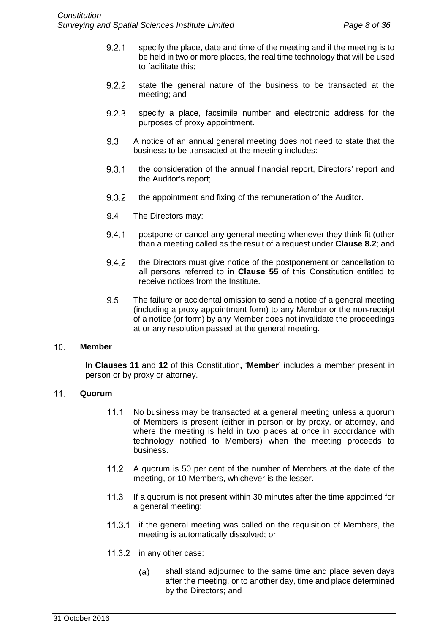- specify the place, date and time of the meeting and if the meeting is to  $9.2.1$ be held in two or more places, the real time technology that will be used to facilitate this;
- $9.2.2$ state the general nature of the business to be transacted at the meeting; and
- $9.2.3$ specify a place, facsimile number and electronic address for the purposes of proxy appointment.
- A notice of an annual general meeting does not need to state that the 9.3 business to be transacted at the meeting includes:
- $9.3.1$ the consideration of the annual financial report, Directors' report and the Auditor's report;
- 9.3.2 the appointment and fixing of the remuneration of the Auditor.
- 9.4 The Directors may:
- $9.4.1$ postpone or cancel any general meeting whenever they think fit (other than a meeting called as the result of a request under **Clause [8.2](#page-10-0)**; and
- 9.4.2 the Directors must give notice of the postponement or cancellation to all persons referred to in **Clause [55](#page-31-0)** of this Constitution entitled to receive notices from the Institute.
- 9.5 The failure or accidental omission to send a notice of a general meeting (including a proxy appointment form) to any Member or the non-receipt of a notice (or form) by any Member does not invalidate the proceedings at or any resolution passed at the general meeting.

#### $10.$ **Member**

In **Clauses [11](#page-11-0)** and **[12](#page-12-0)** of this Constitution**,** '**Member**' includes a member present in person or by proxy or attorney.

#### <span id="page-11-0"></span> $11.$ **Quorum**

- $11.1$ No business may be transacted at a general meeting unless a quorum of Members is present (either in person or by proxy, or attorney, and where the meeting is held in two places at once in accordance with technology notified to Members) when the meeting proceeds to business.
- $11.2$ A quorum is 50 per cent of the number of Members at the date of the meeting, or 10 Members, whichever is the lesser.
- $11.3$ If a quorum is not present within 30 minutes after the time appointed for a general meeting:
- 11.3.1 if the general meeting was called on the requisition of Members, the meeting is automatically dissolved; or
- 11.3.2 in any other case:
	- shall stand adjourned to the same time and place seven days  $(a)$ after the meeting, or to another day, time and place determined by the Directors; and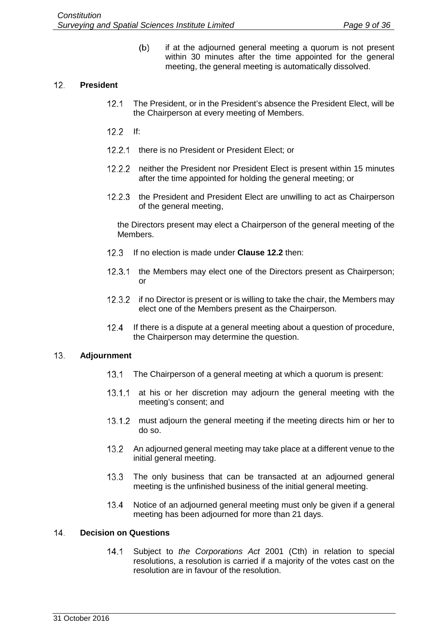$(b)$ if at the adjourned general meeting a quorum is not present within 30 minutes after the time appointed for the general meeting, the general meeting is automatically dissolved.

#### <span id="page-12-1"></span><span id="page-12-0"></span> $12.$ **President**

- $12.1$ The President, or in the President's absence the President Elect, will be the Chairperson at every meeting of Members.
- $12.2$  If:
- 12.2.1 there is no President or President Elect; or
- 12.2.2 neither the President nor President Elect is present within 15 minutes after the time appointed for holding the general meeting; or
- 12.2.3 the President and President Elect are unwilling to act as Chairperson of the general meeting,

the Directors present may elect a Chairperson of the general meeting of the Members.

- If no election is made under **Clause [12.2](#page-12-1)** then:  $12.3$
- 12.3.1 the Members may elect one of the Directors present as Chairperson; or
- 12.3.2 if no Director is present or is willing to take the chair, the Members may elect one of the Members present as the Chairperson.
- $12.4$ If there is a dispute at a general meeting about a question of procedure, the Chairperson may determine the question.

#### $13.$ **Adjournment**

- $13.1$ The Chairperson of a general meeting at which a quorum is present:
- 13.1.1 at his or her discretion may adjourn the general meeting with the meeting's consent; and
- 13.1.2 must adjourn the general meeting if the meeting directs him or her to do so.
- $13.2$ An adjourned general meeting may take place at a different venue to the initial general meeting.
- $13.3$ The only business that can be transacted at an adjourned general meeting is the unfinished business of the initial general meeting.
- $13.4$ Notice of an adjourned general meeting must only be given if a general meeting has been adjourned for more than 21 days.

#### $14$ **Decision on Questions**

14.1 Subject to *the Corporations Act* 2001 (Cth) in relation to special resolutions, a resolution is carried if a majority of the votes cast on the resolution are in favour of the resolution.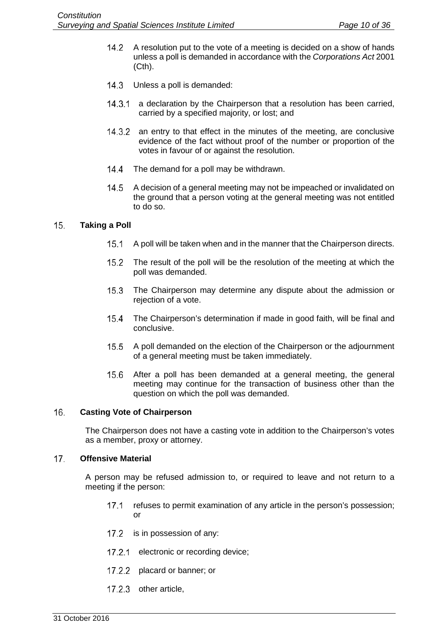- $14.2$ A resolution put to the vote of a meeting is decided on a show of hands unless a poll is demanded in accordance with the *Corporations Act* 2001 (Cth).
- 14.3 Unless a poll is demanded:
- 14.3.1 a declaration by the Chairperson that a resolution has been carried, carried by a specified majority, or lost; and
- $14.3.2$ an entry to that effect in the minutes of the meeting, are conclusive evidence of the fact without proof of the number or proportion of the votes in favour of or against the resolution.
- $14.4$ The demand for a poll may be withdrawn.
- A decision of a general meeting may not be impeached or invalidated on  $14.5$ the ground that a person voting at the general meeting was not entitled to do so.

#### $15.$ **Taking a Poll**

- $15.1$ A poll will be taken when and in the manner that the Chairperson directs.
- $15.2$ The result of the poll will be the resolution of the meeting at which the poll was demanded.
- $15.3$ The Chairperson may determine any dispute about the admission or rejection of a vote.
- $15.4$ The Chairperson's determination if made in good faith, will be final and conclusive.
- $15.5$ A poll demanded on the election of the Chairperson or the adjournment of a general meeting must be taken immediately.
- $15.6$ After a poll has been demanded at a general meeting, the general meeting may continue for the transaction of business other than the question on which the poll was demanded.

#### $16.$ **Casting Vote of Chairperson**

The Chairperson does not have a casting vote in addition to the Chairperson's votes as a member, proxy or attorney.

#### $17<sub>1</sub>$ **Offensive Material**

A person may be refused admission to, or required to leave and not return to a meeting if the person:

- $17.1$ refuses to permit examination of any article in the person's possession; or
- 17.2 is in possession of any:
- 17.2.1 electronic or recording device;
- 17.2.2 placard or banner; or
- 17.2.3 other article,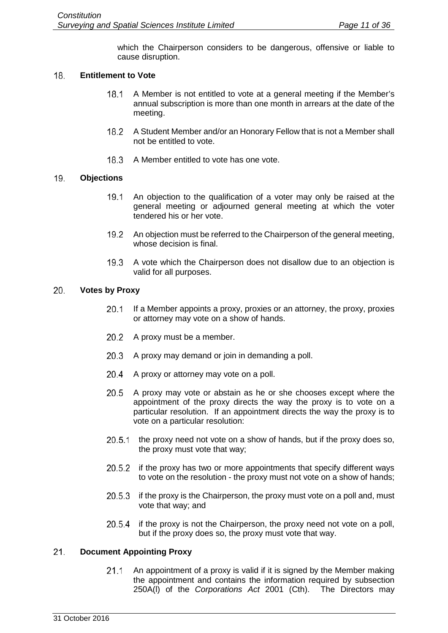which the Chairperson considers to be dangerous, offensive or liable to cause disruption.

#### 18. **Entitlement to Vote**

- $18.1$ A Member is not entitled to vote at a general meeting if the Member's annual subscription is more than one month in arrears at the date of the meeting.
- $18.2$ A Student Member and/or an Honorary Fellow that is not a Member shall not be entitled to vote.
- A Member entitled to vote has one vote. 18.3

#### 19. **Objections**

- $19.1$ An objection to the qualification of a voter may only be raised at the general meeting or adjourned general meeting at which the voter tendered his or her vote.
- $19.2$ An objection must be referred to the Chairperson of the general meeting, whose decision is final.
- $19.3$ A vote which the Chairperson does not disallow due to an objection is valid for all purposes.

#### 20. **Votes by Proxy**

- $20.1$ If a Member appoints a proxy, proxies or an attorney, the proxy, proxies or attorney may vote on a show of hands.
- 20.2 A proxy must be a member.
- 20.3 A proxy may demand or join in demanding a poll.
- 20.4 A proxy or attorney may vote on a poll.
- 20.5 A proxy may vote or abstain as he or she chooses except where the appointment of the proxy directs the way the proxy is to vote on a particular resolution. If an appointment directs the way the proxy is to vote on a particular resolution:
- $20.5.1$  the proxy need not vote on a show of hands, but if the proxy does so, the proxy must vote that way;
- 20.5.2 if the proxy has two or more appointments that specify different ways to vote on the resolution - the proxy must not vote on a show of hands;
- 20.5.3 if the proxy is the Chairperson, the proxy must vote on a poll and, must vote that way; and
- 20.5.4 if the proxy is not the Chairperson, the proxy need not vote on a poll, but if the proxy does so, the proxy must vote that way.

#### $21.$ **Document Appointing Proxy**

An appointment of a proxy is valid if it is signed by the Member making  $21.1$ the appointment and contains the information required by subsection 250A(l) of the *Corporations Act* 2001 (Cth). The Directors may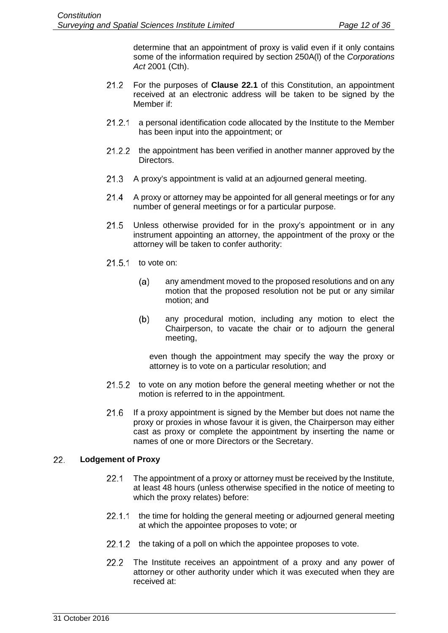determine that an appointment of proxy is valid even if it only contains some of the information required by section 250A(l) of the *Corporations Act* 2001 (Cth).

- $21.2$ For the purposes of **Clause [22.1](#page-15-0)** of this Constitution, an appointment received at an electronic address will be taken to be signed by the Member if:
- $21.2.1$ a personal identification code allocated by the Institute to the Member has been input into the appointment; or
- 21.2.2 the appointment has been verified in another manner approved by the Directors.
- $21.3$ A proxy's appointment is valid at an adjourned general meeting.
- $21.4$ A proxy or attorney may be appointed for all general meetings or for any number of general meetings or for a particular purpose.
- $21.5$ Unless otherwise provided for in the proxy's appointment or in any instrument appointing an attorney, the appointment of the proxy or the attorney will be taken to confer authority:
- $21.5.1$  to vote on:
	- any amendment moved to the proposed resolutions and on any  $(a)$ motion that the proposed resolution not be put or any similar motion; and
	- $(b)$ any procedural motion, including any motion to elect the Chairperson, to vacate the chair or to adjourn the general meeting,

even though the appointment may specify the way the proxy or attorney is to vote on a particular resolution; and

- 21.5.2 to vote on any motion before the general meeting whether or not the motion is referred to in the appointment.
- If a proxy appointment is signed by the Member but does not name the 21.6 proxy or proxies in whose favour it is given, the Chairperson may either cast as proxy or complete the appointment by inserting the name or names of one or more Directors or the Secretary.

#### <span id="page-15-0"></span>22. **Lodgement of Proxy**

- $22.1$ The appointment of a proxy or attorney must be received by the Institute, at least 48 hours (unless otherwise specified in the notice of meeting to which the proxy relates) before:
- 22.1.1 the time for holding the general meeting or adjourned general meeting at which the appointee proposes to vote; or
- $22.1.2$  the taking of a poll on which the appointee proposes to vote.
- 22.2 The Institute receives an appointment of a proxy and any power of attorney or other authority under which it was executed when they are received at: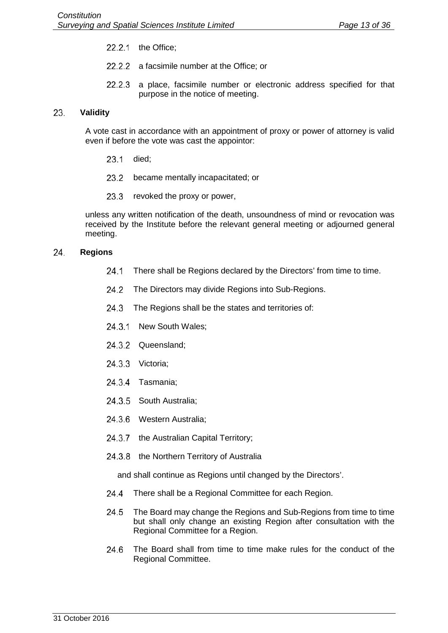- $22.2.1$  the Office;
- 22.2.2 a facsimile number at the Office; or
- 22.2.3 a place, facsimile number or electronic address specified for that purpose in the notice of meeting.

#### 23. **Validity**

A vote cast in accordance with an appointment of proxy or power of attorney is valid even if before the vote was cast the appointor:

- $23.1$ died;
- $23.2$ became mentally incapacitated; or
- 23.3 revoked the proxy or power,

unless any written notification of the death, unsoundness of mind or revocation was received by the Institute before the relevant general meeting or adjourned general meeting.

#### <span id="page-16-1"></span><span id="page-16-0"></span>24. **Regions**

- $24.1$ There shall be Regions declared by the Directors' from time to time.
- 24.2 The Directors may divide Regions into Sub-Regions.
- 24.3 The Regions shall be the states and territories of:
- 24.3.1 New South Wales;
- 24.3.2 Queensland;
- 24.3.3 Victoria;
- 24.3.4 Tasmania;
- 24.3.5 South Australia;
- 24.3.6 Western Australia;
- 24.3.7 the Australian Capital Territory;
- 24.3.8 the Northern Territory of Australia

and shall continue as Regions until changed by the Directors'.

- <span id="page-16-2"></span>24.4 There shall be a Regional Committee for each Region.
- 24.5 The Board may change the Regions and Sub-Regions from time to time but shall only change an existing Region after consultation with the Regional Committee for a Region.
- 24.6 The Board shall from time to time make rules for the conduct of the Regional Committee.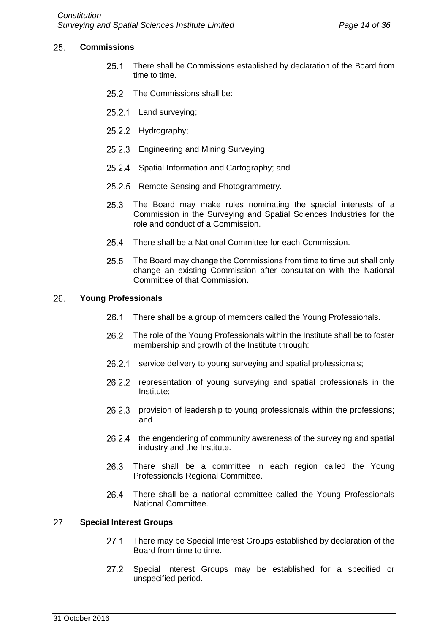#### <span id="page-17-0"></span>25 **Commissions**

- $25.1$ There shall be Commissions established by declaration of the Board from time to time.
- $25.2$ The Commissions shall be:
- 25.2.1 Land surveying;
- 25.2.2 Hydrography;
- 25.2.3 Engineering and Mining Surveying;
- 25.2.4 Spatial Information and Cartography; and
- 25.2.5 Remote Sensing and Photogrammetry.
- The Board may make rules nominating the special interests of a  $25.3$ Commission in the Surveying and Spatial Sciences Industries for the role and conduct of a Commission.
- $25.4$ There shall be a National Committee for each Commission.
- $25.5$ The Board may change the Commissions from time to time but shall only change an existing Commission after consultation with the National Committee of that Commission.

#### <span id="page-17-2"></span>26. **Young Professionals**

- $26.1$ There shall be a group of members called the Young Professionals.
- 26.2 The role of the Young Professionals within the Institute shall be to foster membership and growth of the Institute through:
- 26.2.1 service delivery to young surveying and spatial professionals;
- 26.2.2 representation of young surveying and spatial professionals in the Institute;
- 26.2.3 provision of leadership to young professionals within the professions; and
- 26.2.4 the engendering of community awareness of the surveying and spatial industry and the Institute.
- There shall be a committee in each region called the Young 26.3 Professionals Regional Committee.
- There shall be a national committee called the Young Professionals 26.4 National Committee.

#### <span id="page-17-1"></span>27. **Special Interest Groups**

- $27.1$ There may be Special Interest Groups established by declaration of the Board from time to time.
- $27.2$ Special Interest Groups may be established for a specified or unspecified period.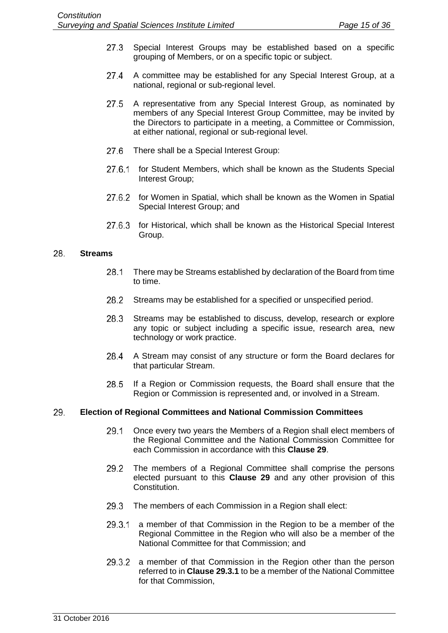- $27.3$ Special Interest Groups may be established based on a specific grouping of Members, or on a specific topic or subject.
- 27.4 A committee may be established for any Special Interest Group, at a national, regional or sub-regional level.
- $27.5$ A representative from any Special Interest Group, as nominated by members of any Special Interest Group Committee, may be invited by the Directors to participate in a meeting, a Committee or Commission, at either national, regional or sub-regional level.
- There shall be a Special Interest Group: 27.6
- 27.6.1 for Student Members, which shall be known as the Students Special Interest Group;
- 27.6.2 for Women in Spatial, which shall be known as the Women in Spatial Special Interest Group; and
- 27.6.3 for Historical, which shall be known as the Historical Special Interest Group.

#### <span id="page-18-4"></span>28. **Streams**

- 28.1 There may be Streams established by declaration of the Board from time to time.
- 28.2 Streams may be established for a specified or unspecified period.
- 28.3 Streams may be established to discuss, develop, research or explore any topic or subject including a specific issue, research area, new technology or work practice.
- 28.4 A Stream may consist of any structure or form the Board declares for that particular Stream.
- 28.5 If a Region or Commission requests, the Board shall ensure that the Region or Commission is represented and, or involved in a Stream.

#### <span id="page-18-3"></span><span id="page-18-0"></span>29. **Election of Regional Committees and National Commission Committees**

- 29.1 Once every two years the Members of a Region shall elect members of the Regional Committee and the National Commission Committee for each Commission in accordance with this **Clause [29](#page-18-0)**.
- 29.2 The members of a Regional Committee shall comprise the persons elected pursuant to this **Clause [29](#page-18-0)** and any other provision of this Constitution.
- 29.3 The members of each Commission in a Region shall elect:
- <span id="page-18-1"></span>a member of that Commission in the Region to be a member of the 29.3.1 Regional Committee in the Region who will also be a member of the National Committee for that Commission; and
- <span id="page-18-2"></span>29.3.2 a member of that Commission in the Region other than the person referred to in **Clause [29.3.1](#page-18-1)** to be a member of the National Committee for that Commission,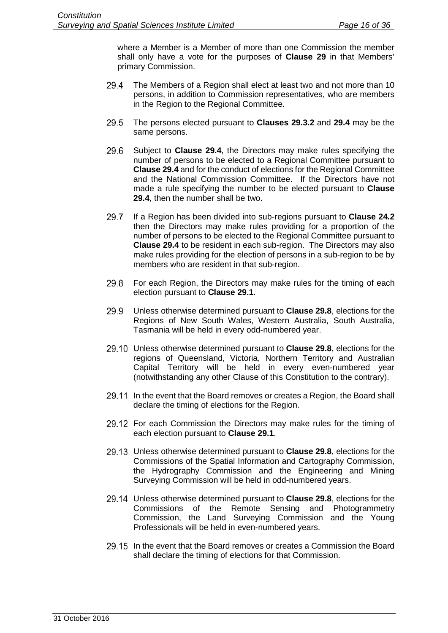where a Member is a Member of more than one Commission the member shall only have a vote for the purposes of **Clause [29](#page-18-0)** in that Members' primary Commission.

- <span id="page-19-0"></span>29.4 The Members of a Region shall elect at least two and not more than 10 persons, in addition to Commission representatives, who are members in the Region to the Regional Committee.
- 29.5 The persons elected pursuant to **Clauses [29.3.2](#page-18-2)** and **[29.4](#page-19-0)** may be the same persons.
- 29.6 Subject to **Clause [29.4](#page-19-0)**, the Directors may make rules specifying the number of persons to be elected to a Regional Committee pursuant to **Claus[e 29.4](#page-19-0)** and for the conduct of elections for the Regional Committee and the National Commission Committee. If the Directors have not made a rule specifying the number to be elected pursuant to **Clause [29.4](#page-19-0)**, then the number shall be two.
- 29.7 If a Region has been divided into sub-regions pursuant to **Clause [24.2](#page-16-0)** then the Directors may make rules providing for a proportion of the number of persons to be elected to the Regional Committee pursuant to **Clause [29.4](#page-19-0)** to be resident in each sub-region. The Directors may also make rules providing for the election of persons in a sub-region to be by members who are resident in that sub-region.
- <span id="page-19-1"></span>29.8 For each Region, the Directors may make rules for the timing of each election pursuant to **Clause [29.1](#page-18-3)**.
- <span id="page-19-2"></span>29.9 Unless otherwise determined pursuant to **Clause [29.8](#page-19-1)**, elections for the Regions of New South Wales, Western Australia, South Australia, Tasmania will be held in every odd-numbered year.
- <span id="page-19-3"></span>Unless otherwise determined pursuant to **Clause [29.8](#page-19-1)**, elections for the regions of Queensland, Victoria, Northern Territory and Australian Capital Territory will be held in every even-numbered year (notwithstanding any other Clause of this Constitution to the contrary).
- 29.11 In the event that the Board removes or creates a Region, the Board shall declare the timing of elections for the Region.
- 29.12 For each Commission the Directors may make rules for the timing of each election pursuant to **Clause [29.1](#page-18-3)**.
- Unless otherwise determined pursuant to **Clause [29.8](#page-19-1)**, elections for the Commissions of the Spatial Information and Cartography Commission, the Hydrography Commission and the Engineering and Mining Surveying Commission will be held in odd-numbered years.
- Unless otherwise determined pursuant to **Clause [29.8](#page-19-1)**, elections for the Commissions of the Remote Sensing and Photogrammetry Commission, the Land Surveying Commission and the Young Professionals will be held in even-numbered years.
- 29.15 In the event that the Board removes or creates a Commission the Board shall declare the timing of elections for that Commission.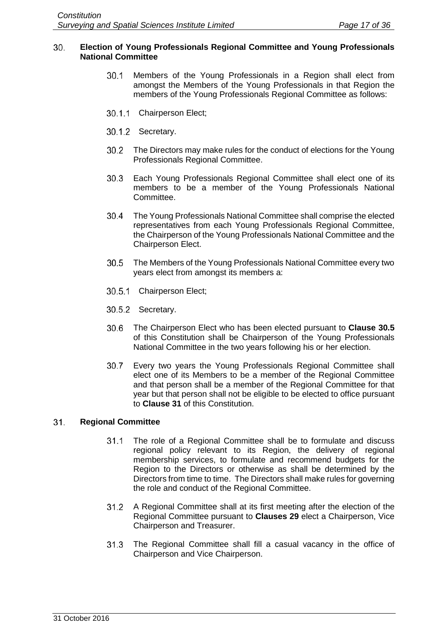### <span id="page-20-2"></span>30. **Election of Young Professionals Regional Committee and Young Professionals National Committee**

- $30.1$ Members of the Young Professionals in a Region shall elect from amongst the Members of the Young Professionals in that Region the members of the Young Professionals Regional Committee as follows:
- 30.1.1 Chairperson Elect;
- 30.1.2 Secretary.
- The Directors may make rules for the conduct of elections for the Young Professionals Regional Committee.
- $30.3$ Each Young Professionals Regional Committee shall elect one of its members to be a member of the Young Professionals National Committee.
- $30.4$ The Young Professionals National Committee shall comprise the elected representatives from each Young Professionals Regional Committee, the Chairperson of the Young Professionals National Committee and the Chairperson Elect.
- <span id="page-20-0"></span>30.5 The Members of the Young Professionals National Committee every two years elect from amongst its members a:
- 30.5.1 Chairperson Elect;
- 30.5.2 Secretary.
- 30.6 The Chairperson Elect who has been elected pursuant to **Clause [30.5](#page-20-0)** of this Constitution shall be Chairperson of the Young Professionals National Committee in the two years following his or her election.
- 30.7 Every two years the Young Professionals Regional Committee shall elect one of its Members to be a member of the Regional Committee and that person shall be a member of the Regional Committee for that year but that person shall not be eligible to be elected to office pursuant to **Clause [31](#page-20-1)** of this Constitution.

#### <span id="page-20-1"></span> $31.$ **Regional Committee**

- $31.1$ The role of a Regional Committee shall be to formulate and discuss regional policy relevant to its Region, the delivery of regional membership services, to formulate and recommend budgets for the Region to the Directors or otherwise as shall be determined by the Directors from time to time. The Directors shall make rules for governing the role and conduct of the Regional Committee.
- $31.2$ A Regional Committee shall at its first meeting after the election of the Regional Committee pursuant to **Clauses [29](#page-18-0)** elect a Chairperson, Vice Chairperson and Treasurer.
- $31.3$ The Regional Committee shall fill a casual vacancy in the office of Chairperson and Vice Chairperson.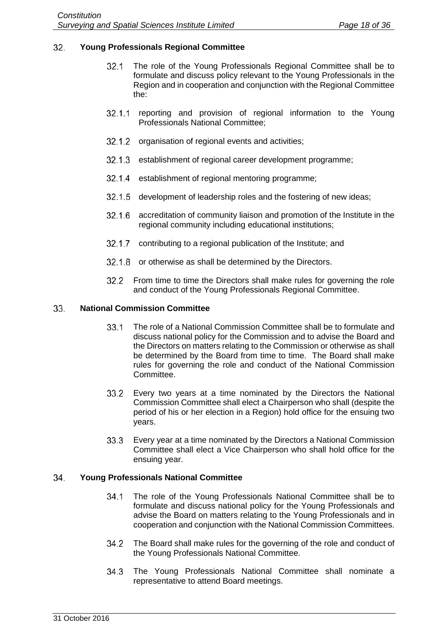#### $32.$ **Young Professionals Regional Committee**

- $32.1$ The role of the Young Professionals Regional Committee shall be to formulate and discuss policy relevant to the Young Professionals in the Region and in cooperation and conjunction with the Regional Committee the:
- 32.1.1 reporting and provision of regional information to the Young Professionals National Committee;
- 32.1.2 organisation of regional events and activities;
- 32.1.3 establishment of regional career development programme;
- 32.1.4 establishment of regional mentoring programme;
- 32.1.5 development of leadership roles and the fostering of new ideas;
- 32.1.6 accreditation of community liaison and promotion of the Institute in the regional community including educational institutions;
- 32.1.7 contributing to a regional publication of the Institute; and
- 32.1.8 or otherwise as shall be determined by the Directors.
- 32.2 From time to time the Directors shall make rules for governing the role and conduct of the Young Professionals Regional Committee.

#### 33. **National Commission Committee**

- $33.1$ The role of a National Commission Committee shall be to formulate and discuss national policy for the Commission and to advise the Board and the Directors on matters relating to the Commission or otherwise as shall be determined by the Board from time to time. The Board shall make rules for governing the role and conduct of the National Commission Committee.
- 33.2 Every two years at a time nominated by the Directors the National Commission Committee shall elect a Chairperson who shall (despite the period of his or her election in a Region) hold office for the ensuing two years.
- 33.3 Every year at a time nominated by the Directors a National Commission Committee shall elect a Vice Chairperson who shall hold office for the ensuing year.

#### 34. **Young Professionals National Committee**

- 34.1 The role of the Young Professionals National Committee shall be to formulate and discuss national policy for the Young Professionals and advise the Board on matters relating to the Young Professionals and in cooperation and conjunction with the National Commission Committees.
- The Board shall make rules for the governing of the role and conduct of 34.2 the Young Professionals National Committee.
- <span id="page-21-0"></span> $34.3$ The Young Professionals National Committee shall nominate a representative to attend Board meetings.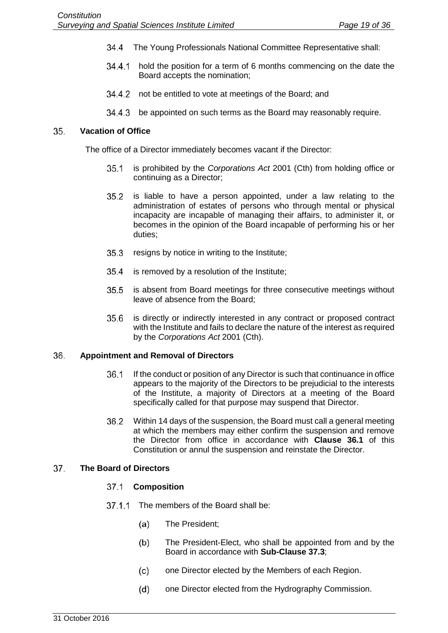- The Young Professionals National Committee Representative shall:
- 34.4.1 hold the position for a term of 6 months commencing on the date the Board accepts the nomination;
- 34.4.2 not be entitled to vote at meetings of the Board; and
- 34.4.3 be appointed on such terms as the Board may reasonably require.

#### 35. **Vacation of Office**

The office of a Director immediately becomes vacant if the Director:

- is prohibited by the *Corporations Act* 2001 (Cth) from holding office or  $35.1$ continuing as a Director;
- $35.2$ is liable to have a person appointed, under a law relating to the administration of estates of persons who through mental or physical incapacity are incapable of managing their affairs, to administer it, or becomes in the opinion of the Board incapable of performing his or her duties;
- $35.3$ resigns by notice in writing to the Institute;
- $35.4$ is removed by a resolution of the Institute;
- 35.5 is absent from Board meetings for three consecutive meetings without leave of absence from the Board;
- $35.6$ is directly or indirectly interested in any contract or proposed contract with the Institute and fails to declare the nature of the interest as required by the *Corporations Act* 2001 (Cth).

#### <span id="page-22-0"></span>36. **Appointment and Removal of Directors**

- $36.1$ If the conduct or position of any Director is such that continuance in office appears to the majority of the Directors to be prejudicial to the interests of the Institute, a majority of Directors at a meeting of the Board specifically called for that purpose may suspend that Director.
- Within 14 days of the suspension, the Board must call a general meeting 36.2 at which the members may either confirm the suspension and remove the Director from office in accordance with **Clause [36.1](#page-22-0)** of this Constitution or annul the suspension and reinstate the Director.

#### 37. **The Board of Directors**

#### $37.1$ **Composition**

- <span id="page-22-1"></span>37.1.1 The members of the Board shall be:
	- The President;  $(a)$
	- $(b)$ The President-Elect, who shall be appointed from and by the Board in accordance with **Sub-Clause [37.3](#page-23-0)**;
	- $(c)$ one Director elected by the Members of each Region.
	- one Director elected from the Hydrography Commission. $(d)$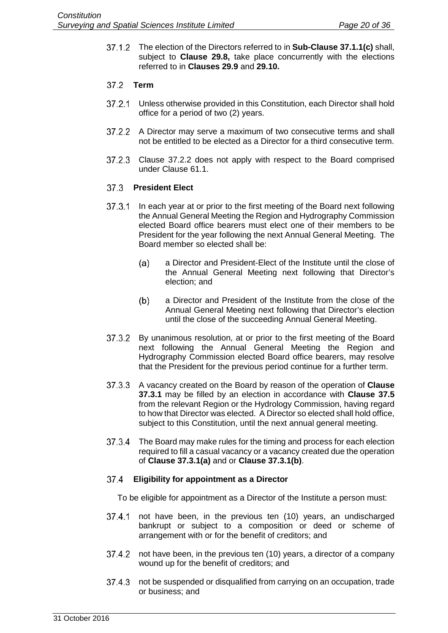The election of the Directors referred to in **Sub-Clause [37.1.1\(c\)](#page-22-1)** shall, subject to **Clause [29.8,](#page-19-1)** take place concurrently with the elections referred to in **Clauses [29.9](#page-19-2)** and **[29.10.](#page-19-3)** 

## **Term**

- Unless otherwise provided in this Constitution, each Director shall hold office for a period of two (2) years.
- <span id="page-23-1"></span>A Director may serve a maximum of two consecutive terms and shall not be entitled to be elected as a Director for a third consecutive term.
- 37.2.3 Clause [37.2.2](#page-23-1) does not apply with respect to the Board comprised under Clause [61.1.](#page-35-0)

## <span id="page-23-0"></span>**President Elect**

- <span id="page-23-3"></span><span id="page-23-2"></span>37.3.1 In each year at or prior to the first meeting of the Board next following the Annual General Meeting the Region and Hydrography Commission elected Board office bearers must elect one of their members to be President for the year following the next Annual General Meeting. The Board member so elected shall be:
	- $(a)$ a Director and President-Elect of the Institute until the close of the Annual General Meeting next following that Director's election; and
	- a Director and President of the Institute from the close of the  $(b)$ Annual General Meeting next following that Director's election until the close of the succeeding Annual General Meeting.
- <span id="page-23-4"></span>37.3.2 By unanimous resolution, at or prior to the first meeting of the Board next following the Annual General Meeting the Region and Hydrography Commission elected Board office bearers, may resolve that the President for the previous period continue for a further term.
- A vacancy created on the Board by reason of the operation of **Clause [37.3.1](#page-23-2)** may be filled by an election in accordance with **Clause [37.5](#page-24-0)** from the relevant Region or the Hydrology Commission, having regard to how that Director was elected. A Director so elected shall hold office, subject to this Constitution, until the next annual general meeting.
- 37.3.4 The Board may make rules for the timing and process for each election required to fill a casual vacancy or a vacancy created due the operation of **Clause [37.3.1\(a\)](#page-23-3)** and or **Clause [37.3.1\(b\)](#page-23-4)**.

#### 37.4 **Eligibility for appointment as a Director**

To be eligible for appointment as a Director of the Institute a person must:

- 37.4.1 not have been, in the previous ten (10) years, an undischarged bankrupt or subject to a composition or deed or scheme of arrangement with or for the benefit of creditors; and
- 37.4.2 not have been, in the previous ten (10) years, a director of a company wound up for the benefit of creditors; and
- 37.4.3 not be suspended or disqualified from carrying on an occupation, trade or business; and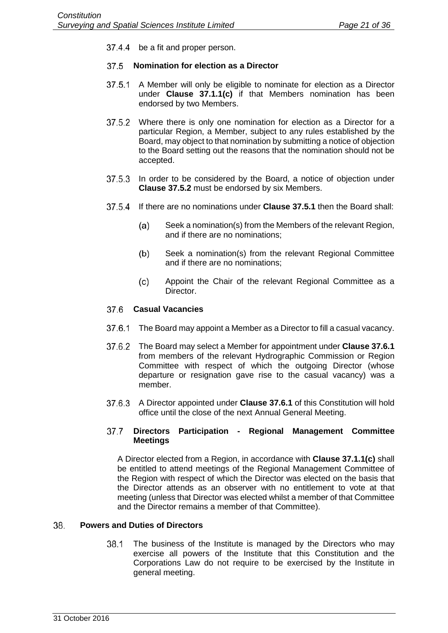37.4.4 be a fit and proper person.

### <span id="page-24-0"></span>**Nomination for election as a Director**

- <span id="page-24-2"></span>37.5.1 A Member will only be eligible to nominate for election as a Director under **Clause [37.1.1\(c\)](#page-22-1)** if that Members nomination has been endorsed by two Members.
- <span id="page-24-1"></span>37.5.2 Where there is only one nomination for election as a Director for a particular Region, a Member, subject to any rules established by the Board, may object to that nomination by submitting a notice of objection to the Board setting out the reasons that the nomination should not be accepted.
- 37.5.3 In order to be considered by the Board, a notice of objection under **Clause [37.5.2](#page-24-1)** must be endorsed by six Members.
- If there are no nominations under **Clause [37.5.1](#page-24-2)** then the Board shall:
	- Seek a nomination(s) from the Members of the relevant Region,  $(a)$ and if there are no nominations;
	- $(b)$ Seek a nomination(s) from the relevant Regional Committee and if there are no nominations;
	- $(c)$ Appoint the Chair of the relevant Regional Committee as a Director.

### **Casual Vacancies**

- <span id="page-24-3"></span>37.6.1 The Board may appoint a Member as a Director to fill a casual vacancy.
- The Board may select a Member for appointment under **Clause [37.6.1](#page-24-3)** from members of the relevant Hydrographic Commission or Region Committee with respect of which the outgoing Director (whose departure or resignation gave rise to the casual vacancy) was a member.
- A Director appointed under **Clause [37.6.1](#page-24-3)** of this Constitution will hold office until the close of the next Annual General Meeting.

### 37.7 **Directors Participation - Regional Management Committee Meetings**

A Director elected from a Region, in accordance with **Clause [37.1.1\(c\)](#page-22-1)** shall be entitled to attend meetings of the Regional Management Committee of the Region with respect of which the Director was elected on the basis that the Director attends as an observer with no entitlement to vote at that meeting (unless that Director was elected whilst a member of that Committee and the Director remains a member of that Committee).

#### <span id="page-24-4"></span>38. **Powers and Duties of Directors**

38.1 The business of the Institute is managed by the Directors who may exercise all powers of the Institute that this Constitution and the Corporations Law do not require to be exercised by the Institute in general meeting.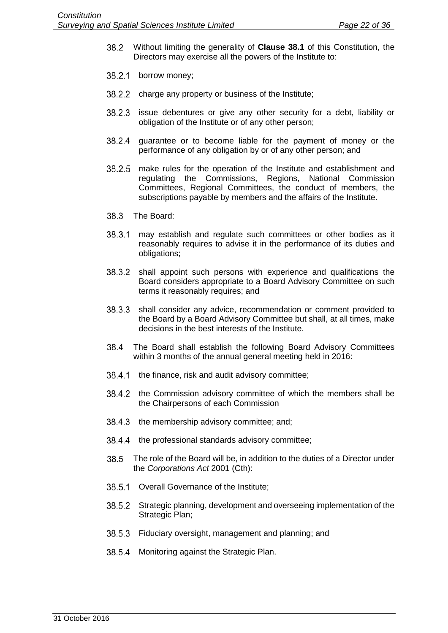- 38.2 Without limiting the generality of **Clause [38.1](#page-24-4)** of this Constitution, the Directors may exercise all the powers of the Institute to:
- 38.2.1 borrow money;
- 38.2.2 charge any property or business of the Institute;
- 38.2.3 issue debentures or give any other security for a debt, liability or obligation of the Institute or of any other person;
- 38.2.4 guarantee or to become liable for the payment of money or the performance of any obligation by or of any other person; and
- 38.2.5 make rules for the operation of the Institute and establishment and regulating the Commissions, Regions, National Commission Committees, Regional Committees, the conduct of members, the subscriptions payable by members and the affairs of the Institute.
- 38.3 The Board:
- <span id="page-25-0"></span>38.3.1 may establish and regulate such committees or other bodies as it reasonably requires to advise it in the performance of its duties and obligations;
- 38.3.2 shall appoint such persons with experience and qualifications the Board considers appropriate to a Board Advisory Committee on such terms it reasonably requires; and
- 38.3.3 shall consider any advice, recommendation or comment provided to the Board by a Board Advisory Committee but shall, at all times, make decisions in the best interests of the Institute.
- 38.4 The Board shall establish the following Board Advisory Committees within 3 months of the annual general meeting held in 2016:
- 38.4.1 the finance, risk and audit advisory committee;
- 38.4.2 the Commission advisory committee of which the members shall be the Chairpersons of each Commission
- 38.4.3 the membership advisory committee; and;
- 38.4.4 the professional standards advisory committee;
- The role of the Board will be, in addition to the duties of a Director under the *Corporations Act* 2001 (Cth):
- 38.5.1 Overall Governance of the Institute;
- 38.5.2 Strategic planning, development and overseeing implementation of the Strategic Plan;
- 38.5.3 Fiduciary oversight, management and planning; and
- 38.5.4 Monitoring against the Strategic Plan.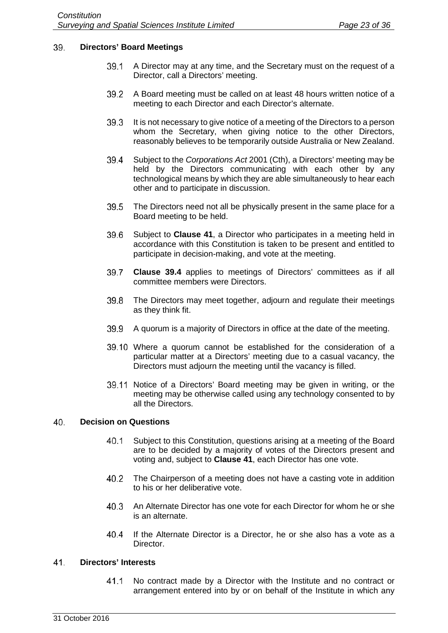#### 39. **Directors' Board Meetings**

- A Director may at any time, and the Secretary must on the request of a  $39.1$ Director, call a Directors' meeting.
- 39.2 A Board meeting must be called on at least 48 hours written notice of a meeting to each Director and each Director's alternate.
- 39.3 It is not necessary to give notice of a meeting of the Directors to a person whom the Secretary, when giving notice to the other Directors, reasonably believes to be temporarily outside Australia or New Zealand.
- <span id="page-26-1"></span>Subject to the *Corporations Act* 2001 (Cth), a Directors' meeting may be 39.4 held by the Directors communicating with each other by any technological means by which they are able simultaneously to hear each other and to participate in discussion.
- 39.5 The Directors need not all be physically present in the same place for a Board meeting to be held.
- 39.6 Subject to **Clause [41](#page-26-0)**, a Director who participates in a meeting held in accordance with this Constitution is taken to be present and entitled to participate in decision-making, and vote at the meeting.
- **Clause [39.4](#page-26-1)** applies to meetings of Directors' committees as if all 39.7 committee members were Directors.
- 39.8 The Directors may meet together, adjourn and regulate their meetings as they think fit.
- 39.9 A quorum is a majority of Directors in office at the date of the meeting.
- Where a quorum cannot be established for the consideration of a particular matter at a Directors' meeting due to a casual vacancy, the Directors must adjourn the meeting until the vacancy is filled.
- 39.11 Notice of a Directors' Board meeting may be given in writing, or the meeting may be otherwise called using any technology consented to by all the Directors.

#### 40. **Decision on Questions**

- 40.1 Subject to this Constitution, questions arising at a meeting of the Board are to be decided by a majority of votes of the Directors present and voting and, subject to **Clause [41](#page-26-0)**, each Director has one vote.
- 40.2 The Chairperson of a meeting does not have a casting vote in addition to his or her deliberative vote.
- 40.3 An Alternate Director has one vote for each Director for whom he or she is an alternate.
- 40.4 If the Alternate Director is a Director, he or she also has a vote as a Director.

#### <span id="page-26-0"></span>41. **Directors' Interests**

41.1 No contract made by a Director with the Institute and no contract or arrangement entered into by or on behalf of the Institute in which any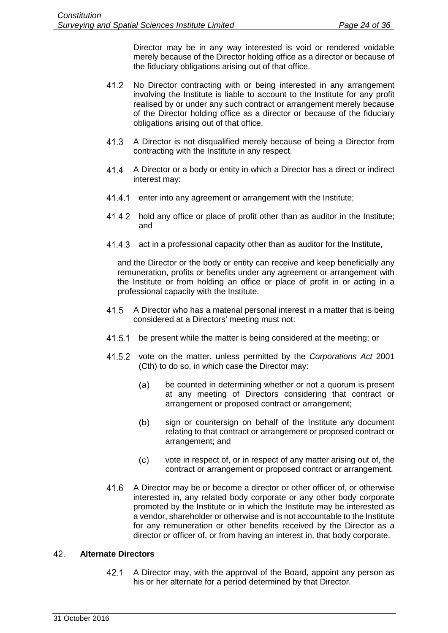Director may be in any way interested is void or rendered voidable merely because of the Director holding office as a director or because of the fiduciary obligations arising out of that office.

- 41.2 No Director contracting with or being interested in any arrangement involving the Institute is liable to account to the Institute for any profit realised by or under any such contract or arrangement merely because of the Director holding office as a director or because of the fiduciary obligations arising out of that office.
- 41.3 A Director is not disqualified merely because of being a Director from contracting with the Institute in any respect.
- 41.4 A Director or a body or entity in which a Director has a direct or indirect interest may:
- 41.4.1 enter into any agreement or arrangement with the Institute;
- 41.4.2 hold any office or place of profit other than as auditor in the Institute; and
- 41.4.3 act in a professional capacity other than as auditor for the Institute,

and the Director or the body or entity can receive and keep beneficially any remuneration, profits or benefits under any agreement or arrangement with the Institute or from holding an office or place of profit in or acting in a professional capacity with the Institute.

- 41.5 A Director who has a material personal interest in a matter that is being considered at a Directors' meeting must not:
- 41.5.1 be present while the matter is being considered at the meeting; or
- vote on the matter, unless permitted by the *Corporations Act* 2001 (Cth) to do so, in which case the Director may:
	- be counted in determining whether or not a quorum is present  $(a)$ at any meeting of Directors considering that contract or arrangement or proposed contract or arrangement;
	- $(b)$ sign or countersign on behalf of the Institute any document relating to that contract or arrangement or proposed contract or arrangement; and
	- $(c)$ vote in respect of, or in respect of any matter arising out of, the contract or arrangement or proposed contract or arrangement.
- 41.6 A Director may be or become a director or other officer of, or otherwise interested in, any related body corporate or any other body corporate promoted by the Institute or in which the Institute may be interested as a vendor, shareholder or otherwise and is not accountable to the Institute for any remuneration or other benefits received by the Director as a director or officer of, or from having an interest in, that body corporate.

#### <span id="page-27-0"></span>42. **Alternate Directors**

42.1 A Director may, with the approval of the Board, appoint any person as his or her alternate for a period determined by that Director.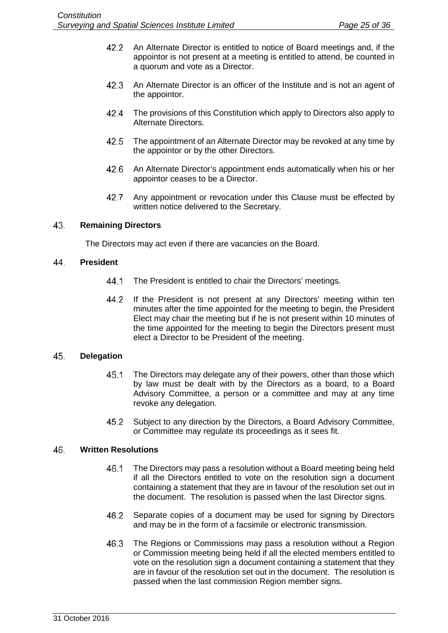- 42.2 An Alternate Director is entitled to notice of Board meetings and, if the appointor is not present at a meeting is entitled to attend, be counted in a quorum and vote as a Director.
- 42.3 An Alternate Director is an officer of the Institute and is not an agent of the appointor.
- $42.4$ The provisions of this Constitution which apply to Directors also apply to Alternate Directors.
- The appointment of an Alternate Director may be revoked at any time by 42.5 the appointor or by the other Directors.
- 42.6 An Alternate Director's appointment ends automatically when his or her appointor ceases to be a Director.
- 42.7 Any appointment or revocation under this Clause must be effected by written notice delivered to the Secretary.

#### 43. **Remaining Directors**

The Directors may act even if there are vacancies on the Board.

#### 44. **President**

- 44.1 The President is entitled to chair the Directors' meetings.
- 44.2 If the President is not present at any Directors' meeting within ten minutes after the time appointed for the meeting to begin, the President Elect may chair the meeting but if he is not present within 10 minutes of the time appointed for the meeting to begin the Directors present must elect a Director to be President of the meeting.

#### 45. **Delegation**

- $45.1$ The Directors may delegate any of their powers, other than those which by law must be dealt with by the Directors as a board, to a Board Advisory Committee, a person or a committee and may at any time revoke any delegation.
- 45.2 Subject to any direction by the Directors, a Board Advisory Committee, or Committee may regulate its proceedings as it sees fit.

#### <span id="page-28-0"></span>46. **Written Resolutions**

- 46.1 The Directors may pass a resolution without a Board meeting being held if all the Directors entitled to vote on the resolution sign a document containing a statement that they are in favour of the resolution set out in the document. The resolution is passed when the last Director signs.
- 46.2 Separate copies of a document may be used for signing by Directors and may be in the form of a facsimile or electronic transmission.
- 46.3 The Regions or Commissions may pass a resolution without a Region or Commission meeting being held if all the elected members entitled to vote on the resolution sign a document containing a statement that they are in favour of the resolution set out in the document. The resolution is passed when the last commission Region member signs.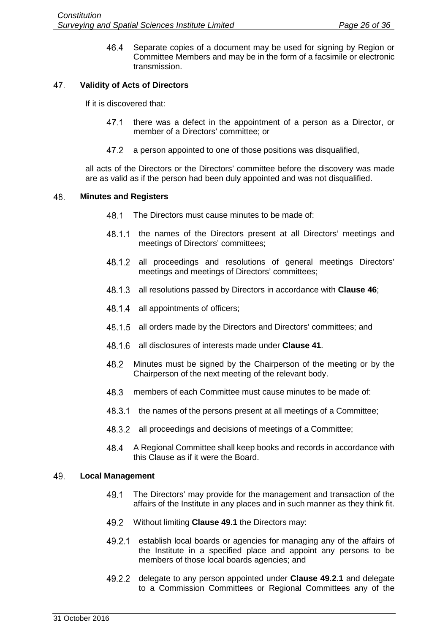46.4 Separate copies of a document may be used for signing by Region or Committee Members and may be in the form of a facsimile or electronic transmission.

#### 47. **Validity of Acts of Directors**

If it is discovered that:

- 47.1 there was a defect in the appointment of a person as a Director, or member of a Directors' committee; or
- 47.2 a person appointed to one of those positions was disqualified,

all acts of the Directors or the Directors' committee before the discovery was made are as valid as if the person had been duly appointed and was not disqualified.

#### 48. **Minutes and Registers**

- 48.1 The Directors must cause minutes to be made of:
- 48.1.1 the names of the Directors present at all Directors' meetings and meetings of Directors' committees;
- 48.1.2 all proceedings and resolutions of general meetings Directors' meetings and meetings of Directors' committees;
- all resolutions passed by Directors in accordance with **Clause [46](#page-28-0)**;
- 48.1.4 all appointments of officers;
- 48.1.5 all orders made by the Directors and Directors' committees; and
- all disclosures of interests made under **Clause [41](#page-26-0)**.
- 48.2 Minutes must be signed by the Chairperson of the meeting or by the Chairperson of the next meeting of the relevant body.
- 48.3 members of each Committee must cause minutes to be made of:
- 48.3.1 the names of the persons present at all meetings of a Committee;
- 48.3.2 all proceedings and decisions of meetings of a Committee;
- A Regional Committee shall keep books and records in accordance with 48.4 this Clause as if it were the Board.

#### <span id="page-29-2"></span><span id="page-29-0"></span>49. **Local Management**

- 49.1 The Directors' may provide for the management and transaction of the affairs of the Institute in any places and in such manner as they think fit.
- 49.2 Without limiting **Clause [49.1](#page-29-0)** the Directors may:
- <span id="page-29-1"></span>49.2.1 establish local boards or agencies for managing any of the affairs of the Institute in a specified place and appoint any persons to be members of those local boards agencies; and
- delegate to any person appointed under **Clause [49.2.1](#page-29-1)** and delegate to a Commission Committees or Regional Committees any of the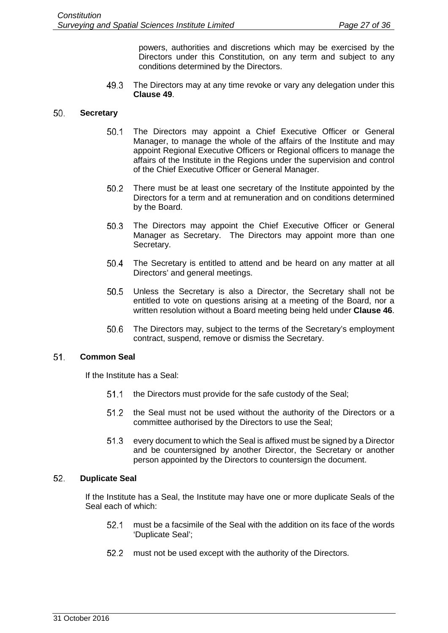powers, authorities and discretions which may be exercised by the Directors under this Constitution, on any term and subject to any conditions determined by the Directors.

49.3 The Directors may at any time revoke or vary any delegation under this **Clause [49](#page-29-2)**.

#### <span id="page-30-0"></span>50. **Secretary**

- $50.1$ The Directors may appoint a Chief Executive Officer or General Manager, to manage the whole of the affairs of the Institute and may appoint Regional Executive Officers or Regional officers to manage the affairs of the Institute in the Regions under the supervision and control of the Chief Executive Officer or General Manager.
- 50.2 There must be at least one secretary of the Institute appointed by the Directors for a term and at remuneration and on conditions determined by the Board.
- 50.3 The Directors may appoint the Chief Executive Officer or General Manager as Secretary. The Directors may appoint more than one Secretary.
- The Secretary is entitled to attend and be heard on any matter at all 50.4 Directors' and general meetings.
- $50.5$ Unless the Secretary is also a Director, the Secretary shall not be entitled to vote on questions arising at a meeting of the Board, nor a written resolution without a Board meeting being held under **Clause [46](#page-28-0)**.
- The Directors may, subject to the terms of the Secretary's employment 50.6 contract, suspend, remove or dismiss the Secretary.

#### $51.$ **Common Seal**

If the Institute has a Seal:

- $51.1$ the Directors must provide for the safe custody of the Seal;
- the Seal must not be used without the authority of the Directors or a 51.2 committee authorised by the Directors to use the Seal;
- 51.3 every document to which the Seal is affixed must be signed by a Director and be countersigned by another Director, the Secretary or another person appointed by the Directors to countersign the document.

#### 52. **Duplicate Seal**

If the Institute has a Seal, the Institute may have one or more duplicate Seals of the Seal each of which:

- must be a facsimile of the Seal with the addition on its face of the words  $52.1$ 'Duplicate Seal';
- 52.2 must not be used except with the authority of the Directors.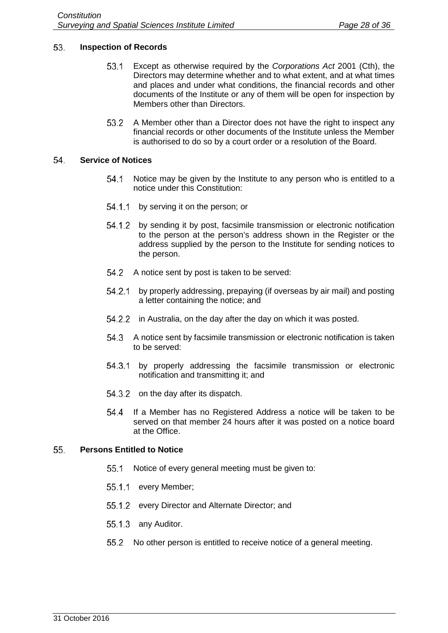#### 53. **Inspection of Records**

- $53.1$ Except as otherwise required by the *Corporations Act* 2001 (Cth), the Directors may determine whether and to what extent, and at what times and places and under what conditions, the financial records and other documents of the Institute or any of them will be open for inspection by Members other than Directors.
- 53.2 A Member other than a Director does not have the right to inspect any financial records or other documents of the Institute unless the Member is authorised to do so by a court order or a resolution of the Board.

#### 54. **Service of Notices**

- Notice may be given by the Institute to any person who is entitled to a 54.1 notice under this Constitution:
- 54.1.1 by serving it on the person; or
- 54.1.2 by sending it by post, facsimile transmission or electronic notification to the person at the person's address shown in the Register or the address supplied by the person to the Institute for sending notices to the person.
- 54.2 A notice sent by post is taken to be served:
- by properly addressing, prepaying (if overseas by air mail) and posting a letter containing the notice; and
- 54.2.2 in Australia, on the day after the day on which it was posted.
- A notice sent by facsimile transmission or electronic notification is taken to be served:
- 54.3.1 by properly addressing the facsimile transmission or electronic notification and transmitting it; and
- 54.3.2 on the day after its dispatch.
- 54.4 If a Member has no Registered Address a notice will be taken to be served on that member 24 hours after it was posted on a notice board at the Office.

#### <span id="page-31-0"></span>55. **Persons Entitled to Notice**

- 55.1 Notice of every general meeting must be given to:
- 55.1.1 every Member;
- 55.1.2 every Director and Alternate Director; and
- 55.1.3 any Auditor.
- 55.2 No other person is entitled to receive notice of a general meeting.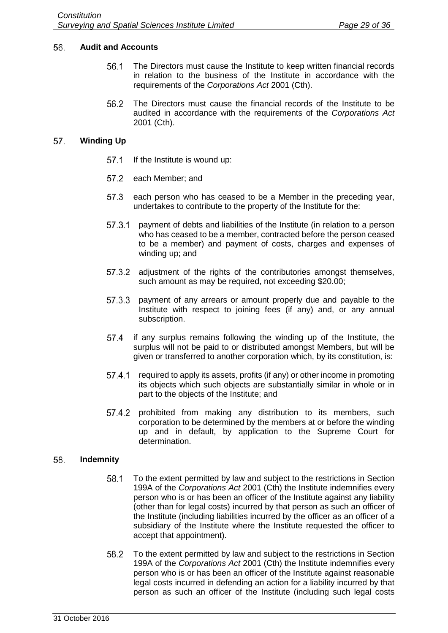#### 56. **Audit and Accounts**

- 56.1 The Directors must cause the Institute to keep written financial records in relation to the business of the Institute in accordance with the requirements of the *Corporations Act* 2001 (Cth).
- 56.2 The Directors must cause the financial records of the Institute to be audited in accordance with the requirements of the *Corporations Act* 2001 (Cth).

#### 57. **Winding Up**

- $57.1$ If the Institute is wound up:
- 57.2 each Member; and
- 57.3 each person who has ceased to be a Member in the preceding year, undertakes to contribute to the property of the Institute for the:
- 57.3.1 payment of debts and liabilities of the Institute (in relation to a person who has ceased to be a member, contracted before the person ceased to be a member) and payment of costs, charges and expenses of winding up; and
- 57.3.2 adjustment of the rights of the contributories amongst themselves, such amount as may be required, not exceeding \$20.00;
- 57.3.3 payment of any arrears or amount properly due and payable to the Institute with respect to joining fees (if any) and, or any annual subscription.
- 57.4 if any surplus remains following the winding up of the Institute, the surplus will not be paid to or distributed amongst Members, but will be given or transferred to another corporation which, by its constitution, is:
- 57.4.1 required to apply its assets, profits (if any) or other income in promoting its objects which such objects are substantially similar in whole or in part to the objects of the Institute; and
- 57.4.2 prohibited from making any distribution to its members, such corporation to be determined by the members at or before the winding up and in default, by application to the Supreme Court for determination.

#### <span id="page-32-0"></span>58. **Indemnity**

- 58.1 To the extent permitted by law and subject to the restrictions in Section 199A of the *Corporations Act* 2001 (Cth) the Institute indemnifies every person who is or has been an officer of the Institute against any liability (other than for legal costs) incurred by that person as such an officer of the Institute (including liabilities incurred by the officer as an officer of a subsidiary of the Institute where the Institute requested the officer to accept that appointment).
- 58.2 To the extent permitted by law and subject to the restrictions in Section 199A of the *Corporations Act* 2001 (Cth) the Institute indemnifies every person who is or has been an officer of the Institute against reasonable legal costs incurred in defending an action for a liability incurred by that person as such an officer of the Institute (including such legal costs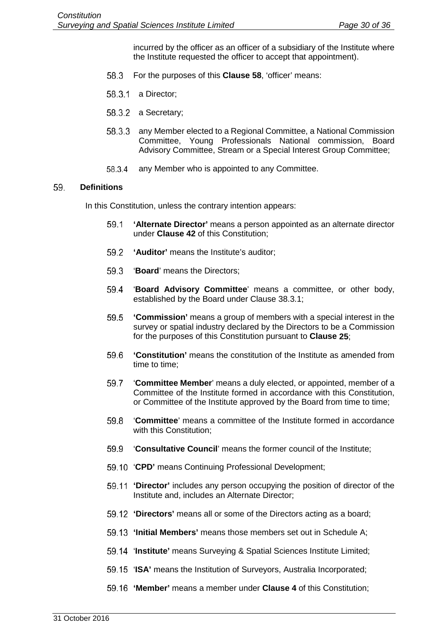incurred by the officer as an officer of a subsidiary of the Institute where the Institute requested the officer to accept that appointment).

- 58.3 For the purposes of this **Clause [58](#page-32-0)**, 'officer' means:
- 58.3.1 a Director;
- 58.3.2 a Secretary;
- 58.3.3 any Member elected to a Regional Committee, a National Commission Committee, Young Professionals National commission, Board Advisory Committee, Stream or a Special Interest Group Committee;
- 58.3.4 any Member who is appointed to any Committee.

#### 59. **Definitions**

In this Constitution, unless the contrary intention appears:

- 59.1 **'Alternate Director'** means a person appointed as an alternate director under **Clause [42](#page-27-0)** of this Constitution;
- 59.2 **'Auditor'** means the Institute's auditor;
- 59.3 '**Board**' means the Directors;
- 59.4 '**Board Advisory Committee**' means a committee, or other body, established by the Board under Clause [38.3.1;](#page-25-0)
- 59.5 **'Commission'** means a group of members with a special interest in the survey or spatial industry declared by the Directors to be a Commission for the purposes of this Constitution pursuant to **Clause [25](#page-17-0)**;
- 59.6 **'Constitution'** means the constitution of the Institute as amended from time to time;
- 59.7 '**Committee Member**' means a duly elected, or appointed, member of a Committee of the Institute formed in accordance with this Constitution, or Committee of the Institute approved by the Board from time to time;
- 59.8 '**Committee**' means a committee of the Institute formed in accordance with this Constitution:
- 59.9 '**Consultative Council**' means the former council of the Institute;
- '**CPD'** means Continuing Professional Development;
- **'Director'** includes any person occupying the position of director of the Institute and, includes an Alternate Director;
- **'Directors'** means all or some of the Directors acting as a board;
- **'Initial Members'** means those members set out in Schedule A;
- '**Institute'** means Surveying & Spatial Sciences Institute Limited;
- '**ISA'** means the Institution of Surveyors, Australia Incorporated;
- **'Member'** means a member under **Clause [4](#page-6-3)** of this Constitution;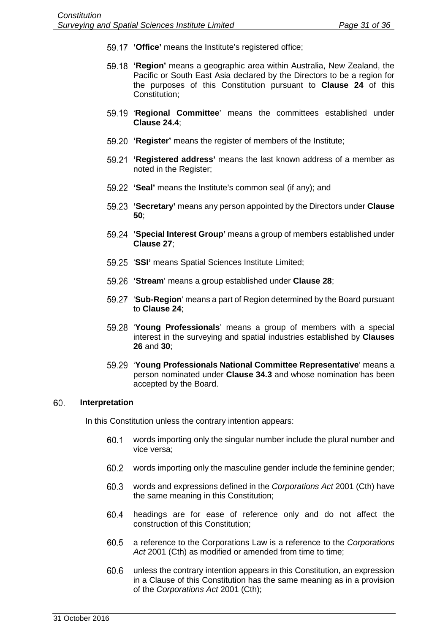- **'Office'** means the Institute's registered office;
- **'Region'** means a geographic area within Australia, New Zealand, the Pacific or South East Asia declared by the Directors to be a region for the purposes of this Constitution pursuant to **Clause [24](#page-16-1)** of this Constitution;
- '**Regional Committee**' means the committees established under **Clause [24.4](#page-16-2)**;
- **'Register'** means the register of members of the Institute;
- **'Registered address'** means the last known address of a member as noted in the Register;
- **'Seal'** means the Institute's common seal (if any); and
- **'Secretary'** means any person appointed by the Directors under **Clause [50](#page-30-0)**;
- **'Special Interest Group'** means a group of members established under **Clause [27](#page-17-1)**;
- '**SSI'** means Spatial Sciences Institute Limited;
- **'Stream**' means a group established under **Clause [28](#page-18-4)**;
- '**Sub-Region**' means a part of Region determined by the Board pursuant to **Clause [24](#page-16-1)**;
- '**Young Professionals**' means a group of members with a special interest in the surveying and spatial industries established by **Clauses [26](#page-17-2)** and **[30](#page-20-2)**;
- '**Young Professionals National Committee Representative**' means a person nominated under **Clause [34.3](#page-21-0)** and whose nomination has been accepted by the Board.

#### 60. **Interpretation**

In this Constitution unless the contrary intention appears:

- 60.1 words importing only the singular number include the plural number and vice versa;
- 60.2 words importing only the masculine gender include the feminine gender;
- 60.3 words and expressions defined in the *Corporations Act* 2001 (Cth) have the same meaning in this Constitution;
- 60.4 headings are for ease of reference only and do not affect the construction of this Constitution;
- a reference to the Corporations Law is a reference to the *Corporations*  60.5 Act 2001 (Cth) as modified or amended from time to time;
- unless the contrary intention appears in this Constitution, an expression 60.6 in a Clause of this Constitution has the same meaning as in a provision of the *Corporations Act* 2001 (Cth);